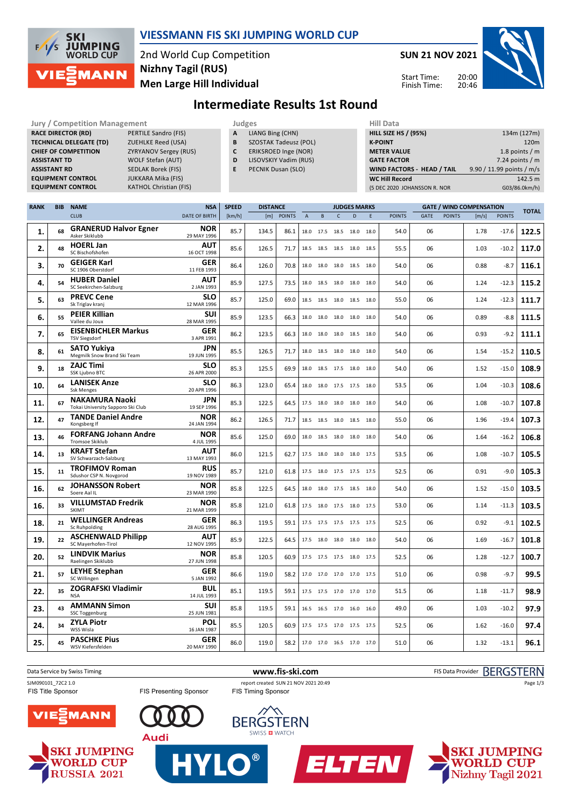

### **VIESSMANN FIS SKI JUMPING WORLD CUP**

2nd World Cup Competition **Men Large Hill Individual Nizhny Tagil (RUS)**

**SUN 21 NOV 2021** 20:00 Start Time:

Finish Time:

20:46



# **Intermediate Results 1st Round**

| <b>Jury / Competition Management</b><br><b>RACE DIRECTOR (RD)</b><br>PERTILE Sandro (FIS)<br><b>TECHNICAL DELEGATE (TD)</b><br><b>ZUEHLKE Reed (USA)</b><br><b>CHIEF OF COMPETITION</b><br><b>ZYRYANOV Sergey (RUS)</b><br><b>ASSISTANT TD</b><br><b>WOLF Stefan (AUT)</b><br><b>ASSISTANT RD</b><br><b>SEDLAK Borek (FIS)</b><br><b>EQUIPMENT CONTROL</b><br><b>JUKKARA Mika (FIS)</b><br><b>EQUIPMENT CONTROL</b><br><b>KATHOL Christian (FIS)</b> |            |                                                            |  |                           | Judges<br>A<br>LIANG Bing (CHN)<br>B<br><b>SZOSTAK Tadeusz (POL)</b><br>C<br>ERIKSROED Inge (NOR)<br>D<br>LISOVSKIY Vadim (RUS)<br>E<br>PECNIK Dusan (SLO) |                 |               |             |                          | <b>Hill Data</b><br><b>HILL SIZE HS / (95%)</b><br><b>K-POINT</b><br><b>METER VALUE</b><br><b>GATE FACTOR</b><br>WIND FACTORS - HEAD / TAIL<br><b>WC Hill Record</b><br>(5 DEC 2020 JOHANSSON R. NOR |                     |      |               | 134m (127m)<br>120m<br>1.8 points $/m$<br>7.24 points $/m$<br>9.90 / 11.99 points / m/s<br>142.5 m<br>G03/86.0km/h) |               |                                 |               |              |
|------------------------------------------------------------------------------------------------------------------------------------------------------------------------------------------------------------------------------------------------------------------------------------------------------------------------------------------------------------------------------------------------------------------------------------------------------|------------|------------------------------------------------------------|--|---------------------------|------------------------------------------------------------------------------------------------------------------------------------------------------------|-----------------|---------------|-------------|--------------------------|------------------------------------------------------------------------------------------------------------------------------------------------------------------------------------------------------|---------------------|------|---------------|---------------------------------------------------------------------------------------------------------------------|---------------|---------------------------------|---------------|--------------|
| <b>RANK</b>                                                                                                                                                                                                                                                                                                                                                                                                                                          | <b>BIB</b> | <b>NAME</b>                                                |  | <b>NSA</b>                | <b>SPEED</b>                                                                                                                                               | <b>DISTANCE</b> |               |             |                          |                                                                                                                                                                                                      | <b>JUDGES MARKS</b> |      |               |                                                                                                                     |               | <b>GATE / WIND COMPENSATION</b> |               |              |
|                                                                                                                                                                                                                                                                                                                                                                                                                                                      |            | <b>CLUB</b>                                                |  | <b>DATE OF BIRTH</b>      | [km/h]                                                                                                                                                     | [m]             | <b>POINTS</b> | $\mathsf A$ | $\, {\sf B}$             | C                                                                                                                                                                                                    | D                   | E    | <b>POINTS</b> | GATE                                                                                                                | <b>POINTS</b> | [m/s]                           | <b>POINTS</b> | <b>TOTAL</b> |
| 1.                                                                                                                                                                                                                                                                                                                                                                                                                                                   | 68         | <b>GRANERUD Halvor Egner</b><br>Asker Skiklubb             |  | <b>NOR</b><br>29 MAY 1996 | 85.7                                                                                                                                                       | 134.5           | 86.1          |             | 18.0 17.5                | 18.5                                                                                                                                                                                                 | 18.0                | 18.0 | 54.0          | 06                                                                                                                  |               | 1.78                            | $-17.6$       | 122.5        |
| 2.                                                                                                                                                                                                                                                                                                                                                                                                                                                   | 48         | <b>HOERL Jan</b><br>SC Bischofshofen                       |  | <b>AUT</b><br>16 OCT 1998 | 85.6                                                                                                                                                       | 126.5           | 71.7          |             | 18.5 18.5                | 18.5 18.0 18.5                                                                                                                                                                                       |                     |      | 55.5          | 06                                                                                                                  |               | 1.03                            | $-10.2$       | 117.0        |
| 3.                                                                                                                                                                                                                                                                                                                                                                                                                                                   | 70         | <b>GEIGER Karl</b><br>SC 1906 Oberstdorf                   |  | <b>GER</b><br>11 FEB 1993 | 86.4                                                                                                                                                       | 126.0           | 70.8          |             | 18.0 18.0                | 18.0 18.5 18.0                                                                                                                                                                                       |                     |      | 54.0          | 06                                                                                                                  |               | 0.88                            | $-8.7$        | 116.1        |
| 4.                                                                                                                                                                                                                                                                                                                                                                                                                                                   | 54         | <b>HUBER Daniel</b><br>SC Seekirchen-Salzburg              |  | <b>AUT</b><br>2 JAN 1993  | 85.9                                                                                                                                                       | 127.5           | 73.5          |             | 18.0 18.5 18.0 18.0 18.0 |                                                                                                                                                                                                      |                     |      | 54.0          | 06                                                                                                                  |               | 1.24                            | $-12.3$       | 115.2        |
| 5.                                                                                                                                                                                                                                                                                                                                                                                                                                                   | 63         | <b>PREVC Cene</b><br>Sk Triglav kranj                      |  | <b>SLO</b><br>12 MAR 1996 | 85.7                                                                                                                                                       | 125.0           | 69.0          |             | 18.5 18.5 18.0 18.5 18.0 |                                                                                                                                                                                                      |                     |      | 55.0          | 06                                                                                                                  |               | 1.24                            | $-12.3$       | 111.7        |
| 6.                                                                                                                                                                                                                                                                                                                                                                                                                                                   | 55         | <b>PEIER Killian</b><br>Vallee du Joux                     |  | <b>SUI</b><br>28 MAR 1995 | 85.9                                                                                                                                                       | 123.5           | 66.3          |             | 18.0 18.0                | 18.0 18.0 18.0                                                                                                                                                                                       |                     |      | 54.0          | 06                                                                                                                  |               | 0.89                            | $-8.8$        | 111.5        |
| 7.                                                                                                                                                                                                                                                                                                                                                                                                                                                   | 65         | <b>EISENBICHLER Markus</b><br><b>TSV Siegsdorf</b>         |  | <b>GER</b><br>3 APR 1991  | 86.2                                                                                                                                                       | 123.5           | 66.3          |             | 18.0 18.0                | 18.0 18.5 18.0                                                                                                                                                                                       |                     |      | 54.0          | 06                                                                                                                  |               | 0.93                            | $-9.2$        | 111.1        |
| 8.                                                                                                                                                                                                                                                                                                                                                                                                                                                   | 61         | <b>SATO Yukiya</b><br>Megmilk Snow Brand Ski Team          |  | JPN<br>19 JUN 1995        | 85.5                                                                                                                                                       | 126.5           | 71.7          |             | 18.0 18.5 18.0 18.0 18.0 |                                                                                                                                                                                                      |                     |      | 54.0          | 06                                                                                                                  |               | 1.54                            | $-15.2$       | 110.5        |
| 9.                                                                                                                                                                                                                                                                                                                                                                                                                                                   | 18         | <b>ZAJC Timi</b><br>SSK Ljubno BTC                         |  | <b>SLO</b><br>26 APR 2000 | 85.3                                                                                                                                                       | 125.5           | 69.9          |             | 18.0 18.5 17.5 18.0 18.0 |                                                                                                                                                                                                      |                     |      | 54.0          | 06                                                                                                                  |               | 1.52                            | $-15.0$       | 108.9        |
| 10.                                                                                                                                                                                                                                                                                                                                                                                                                                                  | 64         | <b>LANISEK Anze</b><br><b>Ssk Menges</b>                   |  | <b>SLO</b><br>20 APR 1996 | 86.3                                                                                                                                                       | 123.0           | 65.4          |             | 18.0 18.0 17.5 17.5 18.0 |                                                                                                                                                                                                      |                     |      | 53.5          | 06                                                                                                                  |               | 1.04                            | $-10.3$       | 108.6        |
| 11.                                                                                                                                                                                                                                                                                                                                                                                                                                                  | 67         | <b>NAKAMURA Naoki</b><br>Tokai University Sapporo Ski Club |  | <b>JPN</b><br>19 SEP 1996 | 85.3                                                                                                                                                       | 122.5           | 64.5          |             | 17.5 18.0 18.0 18.0 18.0 |                                                                                                                                                                                                      |                     |      | 54.0          | 06                                                                                                                  |               | 1.08                            | $-10.7$       | 107.8        |
| 12.                                                                                                                                                                                                                                                                                                                                                                                                                                                  | 47         | <b>TANDE Daniel Andre</b><br>Kongsberg If                  |  | <b>NOR</b><br>24 JAN 1994 | 86.2                                                                                                                                                       | 126.5           | 71.7          |             | 18.5 18.5 18.0 18.5 18.0 |                                                                                                                                                                                                      |                     |      | 55.0          | 06                                                                                                                  |               | 1.96                            | $-19.4$       | 107.3        |
| 13.                                                                                                                                                                                                                                                                                                                                                                                                                                                  | 46         | <b>FORFANG Johann Andre</b><br><b>Tromsoe Skiklub</b>      |  | <b>NOR</b><br>4 JUL 1995  | 85.6                                                                                                                                                       | 125.0           | 69.0          |             | 18.0 18.5 18.0 18.0 18.0 |                                                                                                                                                                                                      |                     |      | 54.0          | 06                                                                                                                  |               | 1.64                            | $-16.2$       | 106.8        |
| 14.                                                                                                                                                                                                                                                                                                                                                                                                                                                  | 13         | <b>KRAFT Stefan</b><br>SV Schwarzach-Salzburg              |  | AUT<br>13 MAY 1993        | 86.0                                                                                                                                                       | 121.5           | 62.7          |             | 17.5 18.0 18.0 18.0 17.5 |                                                                                                                                                                                                      |                     |      | 53.5          | 06                                                                                                                  |               | 1.08                            | $-10.7$       | 105.5        |
| 15.                                                                                                                                                                                                                                                                                                                                                                                                                                                  | 11         | <b>TROFIMOV Roman</b><br>Sdushor CSP N. Novgorod           |  | <b>RUS</b><br>19 NOV 1989 | 85.7                                                                                                                                                       | 121.0           | 61.8          |             | 17.5 18.0 17.5 17.5 17.5 |                                                                                                                                                                                                      |                     |      | 52.5          | 06                                                                                                                  |               | 0.91                            | $-9.0$        | 105.3        |
| 16.                                                                                                                                                                                                                                                                                                                                                                                                                                                  | 62         | <b>JOHANSSON Robert</b><br>Soere Aal IL                    |  | NOR<br>23 MAR 1990        | 85.8                                                                                                                                                       | 122.5           | 64.5          |             | 18.0 18.0 17.5 18.5 18.0 |                                                                                                                                                                                                      |                     |      | 54.0          | 06                                                                                                                  |               | 1.52                            | $-15.0$       | 103.5        |
| 16.                                                                                                                                                                                                                                                                                                                                                                                                                                                  | 33         | <b>VILLUMSTAD Fredrik</b><br>SKIMT                         |  | <b>NOR</b><br>21 MAR 1999 | 85.8                                                                                                                                                       | 121.0           | 61.8          |             | 17.5 18.0 17.5 18.0 17.5 |                                                                                                                                                                                                      |                     |      | 53.0          | 06                                                                                                                  |               | 1.14                            | $-11.3$       | 103.5        |
| 18.                                                                                                                                                                                                                                                                                                                                                                                                                                                  | 21         | <b>WELLINGER Andreas</b><br>Sc Ruhpolding                  |  | GER<br>28 AUG 1995        | 86.3                                                                                                                                                       | 119.5           | 59.1          |             | 17.5 17.5 17.5 17.5 17.5 |                                                                                                                                                                                                      |                     |      | 52.5          | 06                                                                                                                  |               | 0.92                            | $-9.1$        | 102.5        |
| 19.                                                                                                                                                                                                                                                                                                                                                                                                                                                  | 22         | <b>ASCHENWALD Philipp</b><br>SC Mayerhofen-Tirol           |  | AUT<br>12 NOV 1995        | 85.9                                                                                                                                                       | 122.5           | 64.5          |             | 17.5 18.0 18.0 18.0 18.0 |                                                                                                                                                                                                      |                     |      | 54.0          | 06                                                                                                                  |               | 1.69                            | $-16.7$       | 101.8        |
| 20.                                                                                                                                                                                                                                                                                                                                                                                                                                                  | 52         | <b>LINDVIK Marius</b><br>Raelingen Skiklubb                |  | <b>NOR</b><br>27 JUN 1998 | 85.8                                                                                                                                                       | 120.5           | 60.9          |             | 17.5 17.5 17.5 18.0 17.5 |                                                                                                                                                                                                      |                     |      | 52.5          | 06                                                                                                                  |               | 1.28                            | $-12.7$       | 100.7        |
| 21.                                                                                                                                                                                                                                                                                                                                                                                                                                                  | 57         | <b>LEYHE Stephan</b><br>SC Willingen                       |  | <b>GER</b><br>5 JAN 1992  | 86.6                                                                                                                                                       | 119.0           | 58.2          |             | 17.0 17.0 17.0 17.0 17.5 |                                                                                                                                                                                                      |                     |      | 51.0          | 06                                                                                                                  |               | 0.98                            | $-9.7$        | 99.5         |
| 22.                                                                                                                                                                                                                                                                                                                                                                                                                                                  | 35         | <b>ZOGRAFSKI Vladimir</b><br><b>NSA</b>                    |  | <b>BUL</b><br>14 JUL 1993 | 85.1                                                                                                                                                       | 119.5           | 59.1          |             | 17.5 17.5 17.0 17.0 17.0 |                                                                                                                                                                                                      |                     |      | 51.5          | 06                                                                                                                  |               | 1.18                            | $-11.7$       | 98.9         |
| 23.                                                                                                                                                                                                                                                                                                                                                                                                                                                  | 43         | <b>AMMANN Simon</b><br><b>SSC Toggenburg</b>               |  | <b>SUI</b><br>25 JUN 1981 | 85.8                                                                                                                                                       | 119.5           | 59.1          |             | 16.5 16.5 17.0 16.0 16.0 |                                                                                                                                                                                                      |                     |      | 49.0          | 06                                                                                                                  |               | 1.03                            | $-10.2$       | 97.9         |
| 24.                                                                                                                                                                                                                                                                                                                                                                                                                                                  | 34         | <b>ZYLA Piotr</b><br>WSS Wisla                             |  | <b>POL</b><br>16 JAN 1987 | 85.5                                                                                                                                                       | 120.5           | 60.9          |             | 17.5 17.5 17.0 17.5 17.5 |                                                                                                                                                                                                      |                     |      | 52.5          | 06                                                                                                                  |               | 1.62                            | $-16.0$       | 97.4         |
| 25.                                                                                                                                                                                                                                                                                                                                                                                                                                                  | 45         | <b>PASCHKE Pius</b><br>WSV Kiefersfelden                   |  | GER<br>20 MAY 1990        | 86.0                                                                                                                                                       | 119.0           | 58.2          |             | 17.0 17.0 16.5 17.0 17.0 |                                                                                                                                                                                                      |                     |      | 51.0          | 06                                                                                                                  |               | 1.32                            | $-13.1$       | 96.1         |







**Audi** 



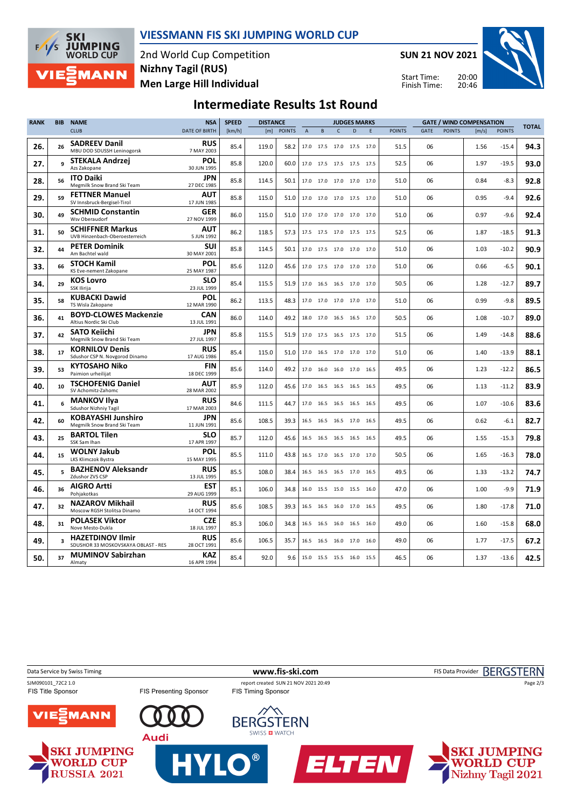

#### **VIESSMANN FIS SKI JUMPING WORLD CUP**

2nd World Cup Competition **Men Large Hill Individual Nizhny Tagil (RUS)**

**SUN 21 NOV 2021**

Start Time: Finish Time:



## **Intermediate Results 1st Round**

| <b>RANK</b> | <b>BIB</b> | <b>NAME</b>                                                    | <b>NSA</b>                | <b>SPEED</b> | <b>DISTANCE</b> |               |                           |           |              | <b>JUDGES MARKS</b>          |   |               |      |               | <b>GATE / WIND COMPENSATION</b> | <b>TOTAL</b>  |      |
|-------------|------------|----------------------------------------------------------------|---------------------------|--------------|-----------------|---------------|---------------------------|-----------|--------------|------------------------------|---|---------------|------|---------------|---------------------------------|---------------|------|
|             |            | <b>CLUB</b>                                                    | DATE OF BIRTH             | [km/h]       | [m]             | <b>POINTS</b> | $\boldsymbol{\mathsf{A}}$ | B         | $\mathsf{C}$ | D                            | E | <b>POINTS</b> | GATE | <b>POINTS</b> | [m/s]                           | <b>POINTS</b> |      |
| 26.         | 26         | <b>SADREEV Danil</b><br>MBU DOD SDUSSH Leninogorsk             | <b>RUS</b><br>7 MAY 2003  | 85.4         | 119.0           | 58.2          |                           |           |              | 17.0 17.5 17.0 17.5 17.0     |   | 51.5          | 06   |               | 1.56                            | $-15.4$       | 94.3 |
| 27.         | q          | STEKALA Andrzej<br>Azs Zakopane                                | <b>POL</b><br>30 JUN 1995 | 85.8         | 120.0           | 60.0          |                           |           |              | 17.0 17.5 17.5 17.5 17.5     |   | 52.5          | 06   |               | 1.97                            | $-19.5$       | 93.0 |
| 28.         | 56         | <b>ITO Daiki</b><br>Megmilk Snow Brand Ski Team                | JPN<br>27 DEC 1985        | 85.8         | 114.5           | 50.1          |                           |           |              | 17.0 17.0 17.0 17.0 17.0     |   | 51.0          | 06   |               | 0.84                            | $-8.3$        | 92.8 |
| 29.         | 59         | <b>FETTNER Manuel</b><br>SV Innsbruck-Bergisel-Tirol           | <b>AUT</b><br>17 JUN 1985 | 85.8         | 115.0           | 51.0          |                           |           |              | 17.0 17.0 17.0 17.5 17.0     |   | 51.0          | 06   |               | 0.95                            | $-9.4$        | 92.6 |
| 30.         | 49         | <b>SCHMID Constantin</b><br>Wsv Oberaudorf                     | <b>GER</b><br>27 NOV 1999 | 86.0         | 115.0           | 51.0          |                           |           |              | 17.0 17.0 17.0 17.0 17.0     |   | 51.0          | 06   |               | 0.97                            | $-9.6$        | 92.4 |
| 31.         | 50         | <b>SCHIFFNER Markus</b><br>UVB Hinzenbach-Oberoesterreich      | <b>AUT</b><br>5 JUN 1992  | 86.2         | 118.5           | 57.3          |                           |           |              | 17.5 17.5 17.0 17.5 17.5     |   | 52.5          | 06   |               | 1.87                            | $-18.5$       | 91.3 |
| 32.         | 44         | <b>PETER Dominik</b><br>Am Bachtel wald                        | SUI<br>30 MAY 2001        | 85.8         | 114.5           | 50.1          |                           |           |              | 17.0 17.5 17.0 17.0 17.0     |   | 51.0          | 06   |               | 1.03                            | $-10.2$       | 90.9 |
| 33.         | 66         | <b>STOCH Kamil</b><br>KS Eve-nement Zakopane                   | <b>POL</b><br>25 MAY 1987 | 85.6         | 112.0           | 45.6          |                           |           |              | 17.0 17.5 17.0 17.0 17.0     |   | 51.0          | 06   |               | 0.66                            | $-6.5$        | 90.1 |
| 34.         | 29         | <b>KOS Lovro</b><br>SSK Ilirija                                | <b>SLO</b><br>23 JUL 1999 | 85.4         | 115.5           | 51.9          |                           |           |              | 17.0  16.5  16.5  17.0  17.0 |   | 50.5          | 06   |               | 1.28                            | $-12.7$       | 89.7 |
| 35.         | 58         | <b>KUBACKI Dawid</b><br>TS Wisla Zakopane                      | <b>POL</b><br>12 MAR 1990 | 86.2         | 113.5           | 48.3          |                           |           |              | 17.0 17.0 17.0 17.0 17.0     |   | 51.0          | 06   |               | 0.99                            | $-9.8$        | 89.5 |
| 36.         | 41         | <b>BOYD-CLOWES Mackenzie</b><br>Altius Nordic Ski Club         | CAN<br>13 JUL 1991        | 86.0         | 114.0           | 49.2          |                           |           |              | 18.0 17.0 16.5 16.5 17.0     |   | 50.5          | 06   |               | 1.08                            | $-10.7$       | 89.0 |
| 37.         | 42         | <b>SATO Keiichi</b><br>Megmilk Snow Brand Ski Team             | JPN<br>27 JUL 1997        | 85.8         | 115.5           | 51.9          |                           |           |              | 17.0 17.5 16.5 17.5 17.0     |   | 51.5          | 06   |               | 1.49                            | $-14.8$       | 88.6 |
| 38.         | 17         | <b>KORNILOV Denis</b><br>Sdushor CSP N. Novgorod Dinamo        | <b>RUS</b><br>17 AUG 1986 | 85.4         | 115.0           | 51.0          |                           |           |              | 17.0 16.5 17.0 17.0 17.0     |   | 51.0          | 06   |               | 1.40                            | $-13.9$       | 88.1 |
| 39.         | 53         | <b>KYTOSAHO Niko</b><br>Paimion urheilijat                     | FIN<br>18 DEC 1999        | 85.6         | 114.0           | 49.2          |                           | 17.0 16.0 |              | 16.0 17.0 16.5               |   | 49.5          | 06   |               | 1.23                            | $-12.2$       | 86.5 |
| 40.         | 10         | <b>TSCHOFENIG Daniel</b><br>SV Achomitz-Zahomc                 | <b>AUT</b><br>28 MAR 2002 | 85.9         | 112.0           | 45.6          |                           |           |              | 17.0 16.5 16.5 16.5 16.5     |   | 49.5          | 06   |               | 1.13                            | $-11.2$       | 83.9 |
| 41.         | 6          | <b>MANKOV Ilya</b><br><b>Sdushor Nizhniy Tagil</b>             | <b>RUS</b><br>17 MAR 2003 | 84.6         | 111.5           | 44.7          | 17.0                      | 16.5      |              | 16.5 16.5 16.5               |   | 49.5          | 06   |               | 1.07                            | $-10.6$       | 83.6 |
| 42.         | 60         | <b>KOBAYASHI Junshiro</b><br>Megmilk Snow Brand Ski Team       | JPN<br>11 JUN 1991        | 85.6         | 108.5           | 39.3          |                           | 16.5 16.5 |              | 16.5 17.0 16.5               |   | 49.5          | 06   |               | 0.62                            | $-6.1$        | 82.7 |
| 43.         | 25         | <b>BARTOL Tilen</b><br>SSK Sam Ihan                            | <b>SLO</b><br>17 APR 1997 | 85.7         | 112.0           | 45.6          |                           |           |              | 16.5 16.5 16.5 16.5 16.5     |   | 49.5          | 06   |               | 1.55                            | $-15.3$       | 79.8 |
| 44.         | 15         | <b>WOLNY Jakub</b><br>LKS Klimczok Bystra                      | <b>POL</b><br>15 MAY 1995 | 85.5         | 111.0           | 43.8          |                           |           |              | 16.5 17.0 16.5 17.0 17.0     |   | 50.5          | 06   |               | 1.65                            | $-16.3$       | 78.0 |
| 45.         | 5          | <b>BAZHENOV Aleksandr</b><br>Zdushor ZVS CSP                   | <b>RUS</b><br>13 JUL 1995 | 85.5         | 108.0           | 38.4          |                           |           |              | 16.5 16.5 16.5 17.0 16.5     |   | 49.5          | 06   |               | 1.33                            | $-13.2$       | 74.7 |
| 46.         | 36         | <b>AIGRO Artti</b><br>Pohjakotkas                              | <b>EST</b><br>29 AUG 1999 | 85.1         | 106.0           | 34.8          |                           | 16.0 15.5 | 15.0         | 15.5 16.0                    |   | 47.0          | 06   |               | 1.00                            | $-9.9$        | 71.9 |
| 47.         | 32         | <b>NAZAROV Mikhail</b><br>Moscow RGSH Stolitsa Dinamo          | <b>RUS</b><br>14 OCT 1994 | 85.6         | 108.5           | 39.3          |                           |           |              | 16.5 16.5 16.0 17.0 16.5     |   | 49.5          | 06   |               | 1.80                            | $-17.8$       | 71.0 |
| 48.         | 31         | <b>POLASEK Viktor</b><br>Nove Mesto-Dukla                      | <b>CZE</b><br>18 JUL 1997 | 85.3         | 106.0           | 34.8          |                           | 16.5 16.5 |              | 16.0 16.5 16.0               |   | 49.0          | 06   |               | 1.60                            | $-15.8$       | 68.0 |
| 49.         | 3          | <b>HAZETDINOV Ilmir</b><br>SDUSHOR 33 MOSKOVSKAYA OBLAST - RES | <b>RUS</b><br>28 OCT 1991 | 85.6         | 106.5           | 35.7          |                           | 16.5 16.5 |              | 16.0 17.0 16.0               |   | 49.0          | 06   |               | 1.77                            | $-17.5$       | 67.2 |
| 50.         | 37         | <b>MUMINOV Sabirzhan</b><br>Almaty                             | <b>KAZ</b><br>16 APR 1994 | 85.4         | 92.0            | 9.6           |                           |           |              | 15.0 15.5 15.5 16.0 15.5     |   | 46.5          | 06   |               | 1.37                            | $-13.6$       | 42.5 |